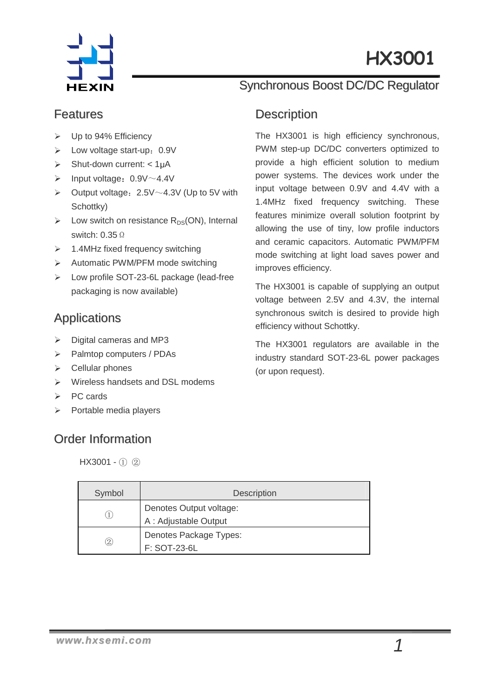

# HX1001 HX3001

### Features

- Up to 94% Efficiency
- $\triangleright$  Low voltage start-up: 0.9V
- $\triangleright$  Shut-down current: < 1µA
- $\triangleright$  Input voltage: 0.9V $\sim$ 4.4V
- $\triangleright$  Output voltage: 2.5V $\sim$ 4.3V (Up to 5V with Schottky)
- $\triangleright$  Low switch on resistance R<sub>DS</sub>(ON), Internal switch: 0.35Ω
- $\geq$  1.4MHz fixed frequency switching
- $\triangleright$  Automatic PWM/PFM mode switching
- Low profile SOT-23-6L package (lead-free packaging is now available)

### Applications

- $\triangleright$  Digital cameras and MP3
- > Palmtop computers / PDAs
- $\triangleright$  Cellular phones
- $\triangleright$  Wireless handsets and DSL modems
- $\triangleright$  PC cards
- Portable media players

## Order Information

HX3001 - ① ②

# Synchronous Boost DC/DC Regulator

#### **Description**

The HX3001 is high efficiency synchronous, PWM step-up DC/DC converters optimized to provide a high efficient solution to medium power systems. The devices work under the input voltage between 0.9V and 4.4V with a 1.4MHz fixed frequency switching. These features minimize overall solution footprint by allowing the use of tiny, low profile inductors and ceramic capacitors. Automatic PWM/PFM mode switching at light load saves power and improves efficiency.

The HX3001 is capable of supplying an output voltage between 2.5V and 4.3V, the internal synchronous switch is desired to provide high efficiency without Schottky.

The HX3001 regulators are available in the industry standard SOT-23-6L power packages (or upon request).

| Symbol | <b>Description</b>      |  |  |
|--------|-------------------------|--|--|
|        | Denotes Output voltage: |  |  |
|        | A : Adjustable Output   |  |  |
|        | Denotes Package Types:  |  |  |
| (2)    | F: SOT-23-6L            |  |  |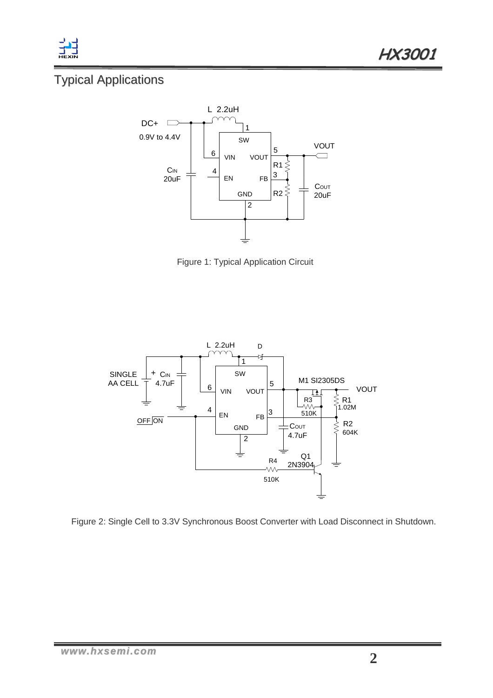

# Typical Applications



Figure 1: Typical Application Circuit



Figure 2: Single Cell to 3.3V Synchronous Boost Converter with Load Disconnect in Shutdown.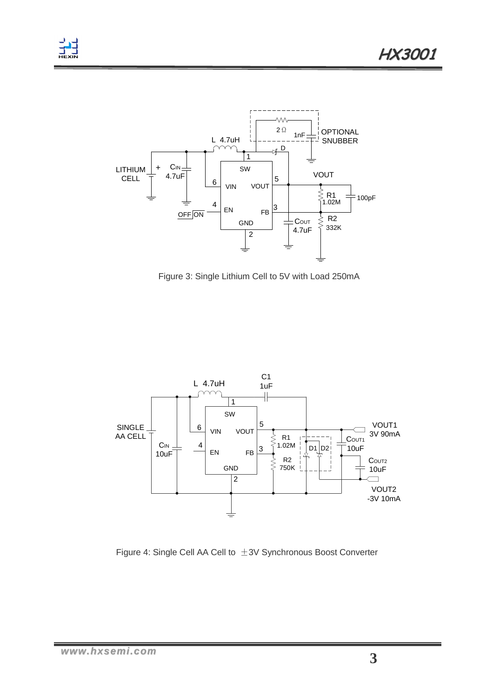



Figure 3: Single Lithium Cell to 5V with Load 250mA



Figure 4: Single Cell AA Cell to ±3V Synchronous Boost Converter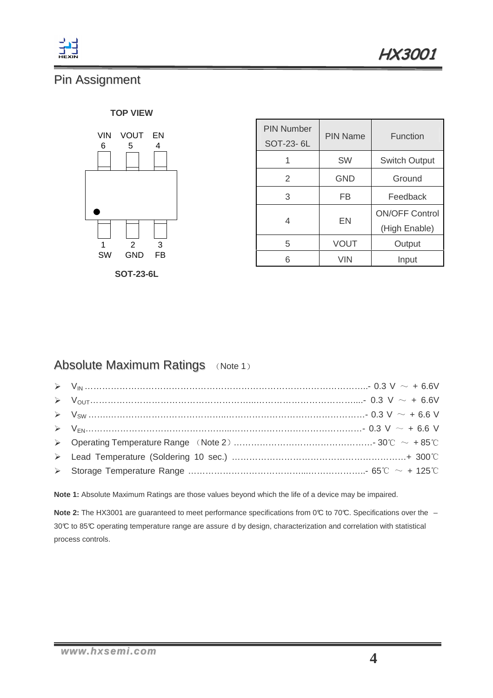

# Pin Assignment

#### **TOP VIEW**



**SOT-23-6L**

| <b>PIN Number</b><br>SOT-23-6L | <b>PIN Name</b> | Function              |  |
|--------------------------------|-----------------|-----------------------|--|
| 1                              | SW              | <b>Switch Output</b>  |  |
| 2                              | <b>GND</b>      | Ground                |  |
| 3                              | FB              | Feedback              |  |
| 4                              | EN              | <b>ON/OFF Control</b> |  |
|                                |                 | (High Enable)         |  |
| 5                              | VOUT            | Output                |  |
| 6                              | <b>VIN</b>      | Input                 |  |

### Absolute Maximum Ratings (Note 1)

| $\triangleright \quad V_{\text{OUT}}$ 0.3 V $\sim$ + 6.6V |
|-----------------------------------------------------------|
| $V_{\text{SW}}$ $0.3 \text{ V} \sim +6.6 \text{ V}$       |
|                                                           |
|                                                           |
|                                                           |
|                                                           |

**Note 1:** Absolute Maximum Ratings are those values beyond which the life of a device may be impaired.

**Note 2:** The HX3001 are guaranteed to meet performance specifications from 0℃ to 70℃. Specifications over the – 30°C to 85°C operating temperature range are assure d by design, characterization and correlation with statistical process controls.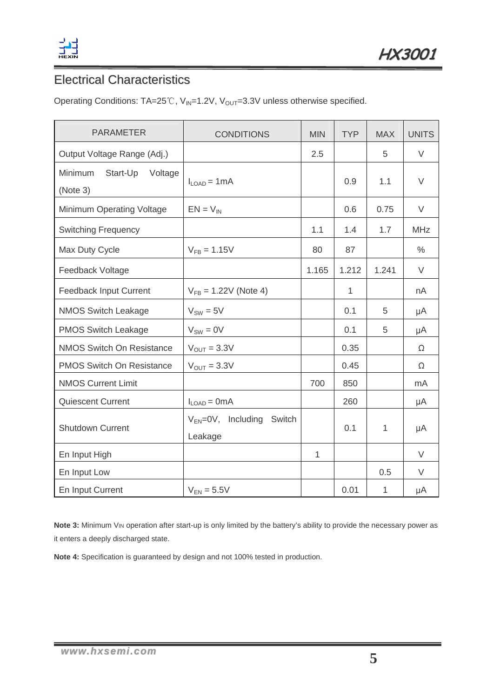

# Electrical Characteristics

Operating Conditions:  $TA=25^{\circ}\text{C}$ ,  $V_{IN}=1.2\text{V}$ ,  $V_{OUT}=3.3\text{V}$  unless otherwise specified.

| <b>PARAMETER</b>                           | <b>CONDITIONS</b>                              | <b>MIN</b>   | <b>TYP</b> | <b>MAX</b> | <b>UNITS</b> |
|--------------------------------------------|------------------------------------------------|--------------|------------|------------|--------------|
| Output Voltage Range (Adj.)                |                                                | 2.5          |            | 5          | $\vee$       |
| Minimum<br>Start-Up<br>Voltage<br>(Note 3) | $II OAD = 1 mA$                                |              | 0.9        | 1.1        | V            |
| Minimum Operating Voltage                  | $EN = V_{IN}$                                  |              | 0.6        | 0.75       | V            |
| <b>Switching Frequency</b>                 |                                                | 1.1          | 1.4        | 1.7        | <b>MHz</b>   |
| Max Duty Cycle                             | $V_{FB} = 1.15V$                               | 80           | 87         |            | $\%$         |
| Feedback Voltage                           |                                                | 1.165        | 1.212      | 1.241      | V            |
| Feedback Input Current                     | $V_{FB} = 1.22V$ (Note 4)                      |              | 1          |            | nA           |
| <b>NMOS Switch Leakage</b>                 | $V_{SW} = 5V$                                  |              | 0.1        | 5          | μA           |
| PMOS Switch Leakage                        | $V_{SW} = 0V$                                  |              | 0.1        | 5          | μA           |
| <b>NMOS Switch On Resistance</b>           | $V_{OUT} = 3.3V$                               |              | 0.35       |            | Ω            |
| <b>PMOS Switch On Resistance</b>           | $V_{OUT} = 3.3V$                               |              | 0.45       |            | Ω            |
| <b>NMOS Current Limit</b>                  |                                                | 700          | 850        |            | mA           |
| <b>Quiescent Current</b>                   | $I_{LOAD} = 0mA$                               |              | 260        |            | μA           |
| <b>Shutdown Current</b>                    | $V_{EN} = 0V$ , Including<br>Switch<br>Leakage |              | 0.1        | 1          | μA           |
| En Input High                              |                                                | $\mathbf{1}$ |            |            | V            |
| En Input Low                               |                                                |              |            | 0.5        | V            |
| En Input Current                           | $V_{EN} = 5.5V$                                |              | 0.01       | 1          | μA           |

**Note 3:** Minimum VIN operation after start-up is only limited by the battery's ability to provide the necessary power as it enters a deeply discharged state.

**Note 4:** Specification is guaranteed by design and not 100% tested in production.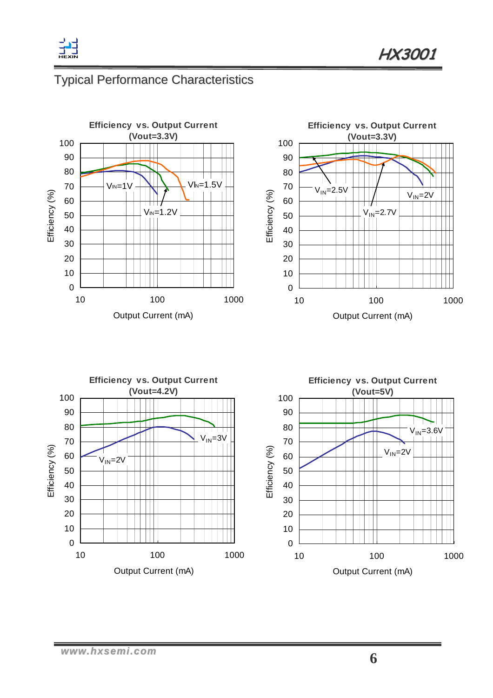

# Typical Performance Characteristics



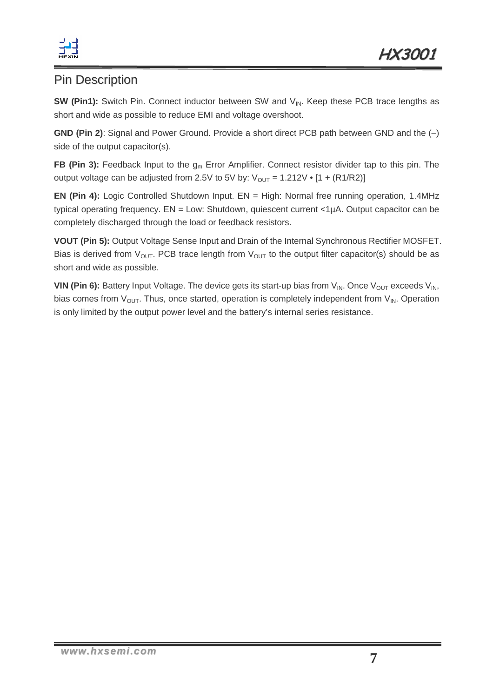

### Pin Description

**SW (Pin1):** Switch Pin. Connect inductor between SW and V<sub>IN</sub>. Keep these PCB trace lengths as short and wide as possible to reduce EMI and voltage overshoot.

**GND (Pin 2)**: Signal and Power Ground. Provide a short direct PCB path between GND and the (–) side of the output capacitor(s).

**FB (Pin 3):** Feedback Input to the g<sub>m</sub> Error Amplifier. Connect resistor divider tap to this pin. The output voltage can be adjusted from 2.5V to 5V by:  $V_{OUT} = 1.212V \cdot [1 + (R1/R2)]$ 

**EN (Pin 4):** Logic Controlled Shutdown Input. EN = High: Normal free running operation, 1.4MHz typical operating frequency. EN = Low: Shutdown, quiescent current <1µA. Output capacitor can be completely discharged through the load or feedback resistors.

**VOUT (Pin 5):** Output Voltage Sense Input and Drain of the Internal Synchronous Rectifier MOSFET. Bias is derived from  $V_{OUT}$ . PCB trace length from  $V_{OUT}$  to the output filter capacitor(s) should be as short and wide as possible.

**VIN (Pin 6):** Battery Input Voltage. The device gets its start-up bias from  $V_{IN}$ . Once  $V_{OUT}$  exceeds  $V_{IN}$ , bias comes from  $V_{OUT}$ . Thus, once started, operation is completely independent from  $V_{IN}$ . Operation is only limited by the output power level and the battery's internal series resistance.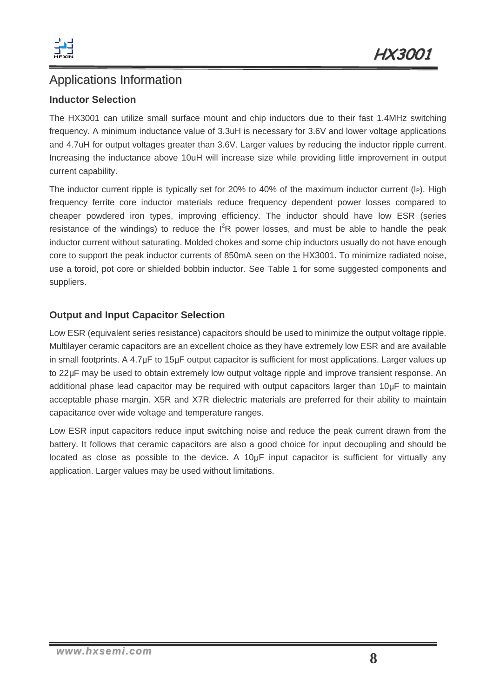

### Applications Information

#### **Inductor Selection**

The HX3001 can utilize small surface mount and chip inductors due to their fast 1.4MHz switching frequency. A minimum inductance value of 3.3uH is necessary for 3.6V and lower voltage applications and 4.7uH for output voltages greater than 3.6V. Larger values by reducing the inductor ripple current. Increasing the inductance above 10uH will increase size while providing little improvement in output current capability.

The inductor current ripple is typically set for 20% to 40% of the maximum inductor current (IP). High frequency ferrite core inductor materials reduce frequency dependent power losses compared to cheaper powdered iron types, improving efficiency. The inductor should have low ESR (series resistance of the windings) to reduce the  $I^2R$  power losses, and must be able to handle the peak inductor current without saturating. Molded chokes and some chip inductors usually do not have enough core to support the peak inductor currents of 850mA seen on the HX3001. To minimize radiated noise, use a toroid, pot core or shielded bobbin inductor. See Table 1 for some suggested components and suppliers.

#### **Output and Input Capacitor Selection**

Low ESR (equivalent series resistance) capacitors should be used to minimize the output voltage ripple. Multilayer ceramic capacitors are an excellent choice as they have extremely low ESR and are available in small footprints. A 4.7µF to 15µF output capacitor is sufficient for most applications. Larger values up to 22µF may be used to obtain extremely low output voltage ripple and improve transient response. An additional phase lead capacitor may be required with output capacitors larger than 10uF to maintain acceptable phase margin. X5R and X7R dielectric materials are preferred for their ability to maintain capacitance over wide voltage and temperature ranges.

Low ESR input capacitors reduce input switching noise and reduce the peak current drawn from the battery. It follows that ceramic capacitors are also a good choice for input decoupling and should be located as close as possible to the device. A 10µF input capacitor is sufficient for virtually any application. Larger values may be used without limitations.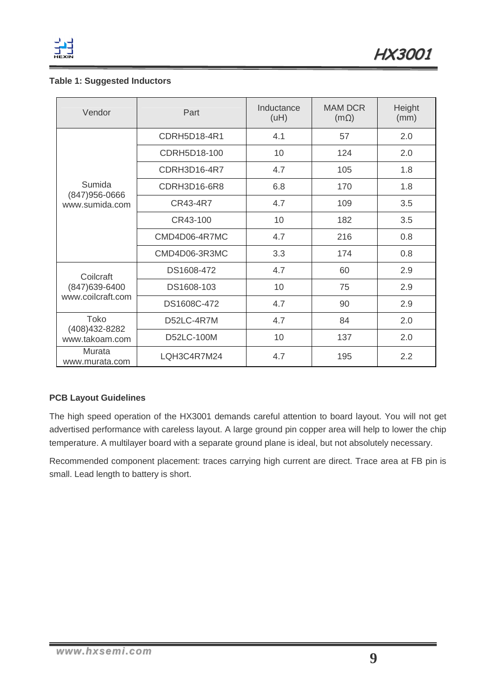

#### **Table 1: Suggested Inductors**

| Vendor                                        | Part                |     | <b>MAM DCR</b><br>$(m\Omega)$ | Height<br>(mm) |
|-----------------------------------------------|---------------------|-----|-------------------------------|----------------|
|                                               | CDRH5D18-4R1        | 4.1 | 57                            | 2.0            |
|                                               | CDRH5D18-100        | 10  | 124                           | 2.0            |
| Sumida<br>$(847)956 - 0666$<br>www.sumida.com | CDRH3D16-4R7        | 4.7 | 105                           | 1.8            |
|                                               | <b>CDRH3D16-6R8</b> |     | 170                           | 1.8            |
|                                               | CR43-4R7            | 4.7 | 109                           | 3.5            |
|                                               | CR43-100            | 10  | 182                           | 3.5            |
|                                               | CMD4D06-4R7MC       | 4.7 | 216                           | 0.8            |
|                                               | CMD4D06-3R3MC       | 3.3 | 174                           | 0.8            |
| Coilcraft                                     | DS1608-472          | 4.7 | 60                            | 2.9            |
| (847) 639-6400<br>www.coilcraft.com           | DS1608-103          | 10  | 75                            | 2.9            |
|                                               | DS1608C-472         | 4.7 | 90                            | 2.9            |
| Toko<br>(408) 432-8282<br>www.takoam.com      | D52LC-4R7M          | 4.7 | 84                            | 2.0            |
|                                               | D52LC-100M          | 10  | 137                           | 2.0            |
| Murata<br>www.murata.com                      | LQH3C4R7M24<br>4.7  |     | 195                           | 2.2            |

#### **PCB Layout Guidelines**

The high speed operation of the HX3001 demands careful attention to board layout. You will not get advertised performance with careless layout. A large ground pin copper area will help to lower the chip temperature. A multilayer board with a separate ground plane is ideal, but not absolutely necessary.

Recommended component placement: traces carrying high current are direct. Trace area at FB pin is small. Lead length to battery is short.